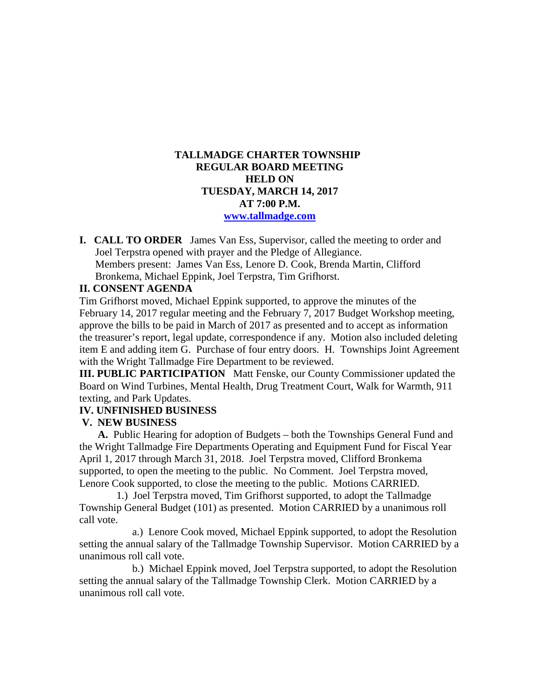## **TALLMADGE CHARTER TOWNSHIP REGULAR BOARD MEETING HELD ON TUESDAY, MARCH 14, 2017 AT 7:00 P.M. [www.tallmadge.com](http://www.tallmadge.com/)**

**I. CALL TO ORDER** James Van Ess, Supervisor, called the meeting to order and Joel Terpstra opened with prayer and the Pledge of Allegiance. Members present: James Van Ess, Lenore D. Cook, Brenda Martin, Clifford Bronkema, Michael Eppink, Joel Terpstra, Tim Grifhorst.

# **II. CONSENT AGENDA**

Tim Grifhorst moved, Michael Eppink supported, to approve the minutes of the February 14, 2017 regular meeting and the February 7, 2017 Budget Workshop meeting, approve the bills to be paid in March of 2017 as presented and to accept as information the treasurer's report, legal update, correspondence if any. Motion also included deleting item E and adding item G. Purchase of four entry doors. H. Townships Joint Agreement with the Wright Tallmadge Fire Department to be reviewed.

**III. PUBLIC PARTICIPATION** Matt Fenske, our County Commissioner updated the Board on Wind Turbines, Mental Health, Drug Treatment Court, Walk for Warmth, 911 texting, and Park Updates.

## **IV. UNFINISHED BUSINESS**

## **V. NEW BUSINESS**

 **A.** Public Hearing for adoption of Budgets – both the Townships General Fund and the Wright Tallmadge Fire Departments Operating and Equipment Fund for Fiscal Year April 1, 2017 through March 31, 2018. Joel Terpstra moved, Clifford Bronkema supported, to open the meeting to the public. No Comment. Joel Terpstra moved, Lenore Cook supported, to close the meeting to the public. Motions CARRIED.

 1.) Joel Terpstra moved, Tim Grifhorst supported, to adopt the Tallmadge Township General Budget (101) as presented. Motion CARRIED by a unanimous roll call vote.

 a.) Lenore Cook moved, Michael Eppink supported, to adopt the Resolution setting the annual salary of the Tallmadge Township Supervisor. Motion CARRIED by a unanimous roll call vote.

 b.) Michael Eppink moved, Joel Terpstra supported, to adopt the Resolution setting the annual salary of the Tallmadge Township Clerk. Motion CARRIED by a unanimous roll call vote.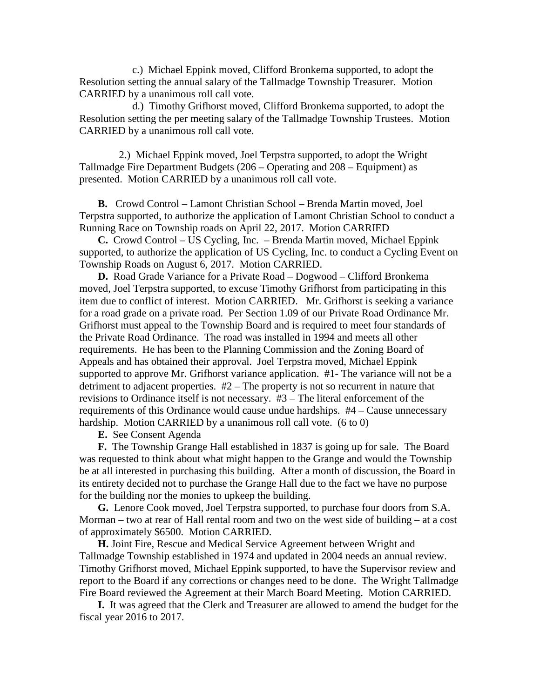c.) Michael Eppink moved, Clifford Bronkema supported, to adopt the Resolution setting the annual salary of the Tallmadge Township Treasurer. Motion CARRIED by a unanimous roll call vote.

 d.) Timothy Grifhorst moved, Clifford Bronkema supported, to adopt the Resolution setting the per meeting salary of the Tallmadge Township Trustees. Motion CARRIED by a unanimous roll call vote.

 2.) Michael Eppink moved, Joel Terpstra supported, to adopt the Wright Tallmadge Fire Department Budgets (206 – Operating and 208 – Equipment) as presented. Motion CARRIED by a unanimous roll call vote.

 **B.** Crowd Control – Lamont Christian School – Brenda Martin moved, Joel Terpstra supported, to authorize the application of Lamont Christian School to conduct a Running Race on Township roads on April 22, 2017. Motion CARRIED

 **C.** Crowd Control – US Cycling, Inc. – Brenda Martin moved, Michael Eppink supported, to authorize the application of US Cycling, Inc. to conduct a Cycling Event on Township Roads on August 6, 2017. Motion CARRIED.

 **D.** Road Grade Variance for a Private Road – Dogwood – Clifford Bronkema moved, Joel Terpstra supported, to excuse Timothy Grifhorst from participating in this item due to conflict of interest. Motion CARRIED. Mr. Grifhorst is seeking a variance for a road grade on a private road. Per Section 1.09 of our Private Road Ordinance Mr. Grifhorst must appeal to the Township Board and is required to meet four standards of the Private Road Ordinance. The road was installed in 1994 and meets all other requirements. He has been to the Planning Commission and the Zoning Board of Appeals and has obtained their approval. Joel Terpstra moved, Michael Eppink supported to approve Mr. Grifhorst variance application. #1- The variance will not be a detriment to adjacent properties. #2 – The property is not so recurrent in nature that revisions to Ordinance itself is not necessary. #3 – The literal enforcement of the requirements of this Ordinance would cause undue hardships. #4 – Cause unnecessary hardship. Motion CARRIED by a unanimous roll call vote. (6 to 0)

 **E.** See Consent Agenda

 **F.** The Township Grange Hall established in 1837 is going up for sale. The Board was requested to think about what might happen to the Grange and would the Township be at all interested in purchasing this building. After a month of discussion, the Board in its entirety decided not to purchase the Grange Hall due to the fact we have no purpose for the building nor the monies to upkeep the building.

 **G.** Lenore Cook moved, Joel Terpstra supported, to purchase four doors from S.A. Morman – two at rear of Hall rental room and two on the west side of building – at a cost of approximately \$6500. Motion CARRIED.

 **H.** Joint Fire, Rescue and Medical Service Agreement between Wright and Tallmadge Township established in 1974 and updated in 2004 needs an annual review. Timothy Grifhorst moved, Michael Eppink supported, to have the Supervisor review and report to the Board if any corrections or changes need to be done. The Wright Tallmadge Fire Board reviewed the Agreement at their March Board Meeting. Motion CARRIED.

 **I.** It was agreed that the Clerk and Treasurer are allowed to amend the budget for the fiscal year 2016 to 2017.